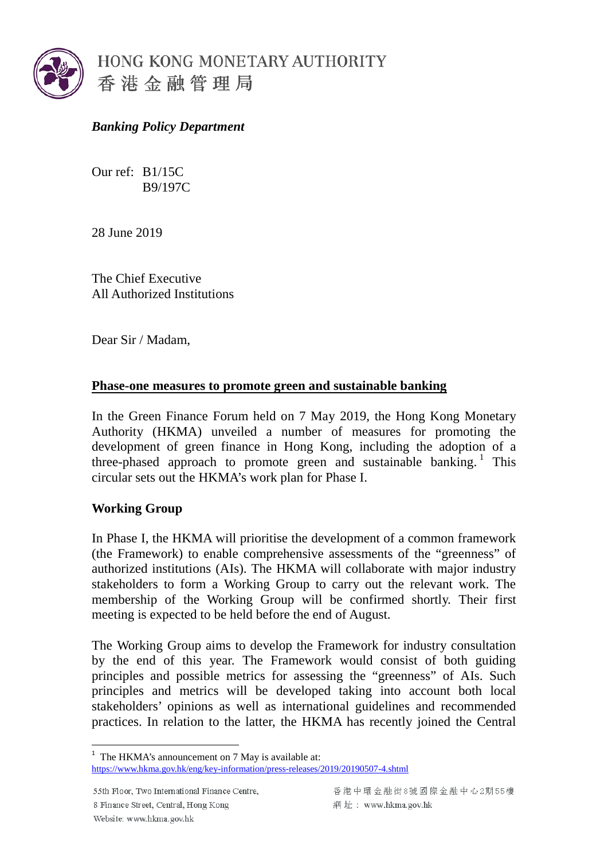

## *Banking Policy Department*

Our ref: B1/15C B9/197C

28 June 2019

The Chief Executive All Authorized Institutions

Dear Sir / Madam,

## **Phase-one measures to promote green and sustainable banking**

In the Green Finance Forum held on 7 May 2019, the Hong Kong Monetary Authority (HKMA) unveiled a number of measures for promoting the development of green finance in Hong Kong, including the adoption of a three-phased approach to promote green and sustainable banking.<sup>[1](#page-0-0)</sup> This circular sets out the HKMA's work plan for Phase I.

## **Working Group**

In Phase I, the HKMA will prioritise the development of a common framework (the Framework) to enable comprehensive assessments of the "greenness" of authorized institutions (AIs). The HKMA will collaborate with major industry stakeholders to form a Working Group to carry out the relevant work. The membership of the Working Group will be confirmed shortly. Their first meeting is expected to be held before the end of August.

The Working Group aims to develop the Framework for industry consultation by the end of this year. The Framework would consist of both guiding principles and possible metrics for assessing the "greenness" of AIs. Such principles and metrics will be developed taking into account both local stakeholders' opinions as well as international guidelines and recommended practices. In relation to the latter, the HKMA has recently joined the Central

55th Floor, Two International Finance Centre, 8 Finance Street, Central, Hong Kong Website: www.hkma.gov.hk

<span id="page-0-0"></span> $1$  The HKMA's announcement on 7 May is available at:

<https://www.hkma.gov.hk/eng/key-information/press-releases/2019/20190507-4.shtml>